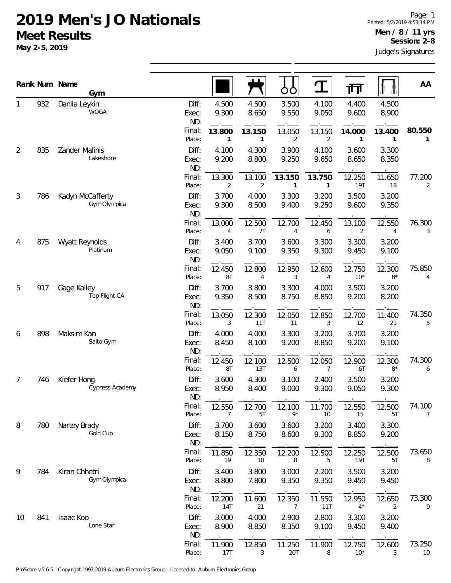## **2019 Men's JO Nationals Meet Results**

**May 2-5, 2019**

|                |     | Rank Num Name<br>Gym                  |                       |                |                | OO                       |                          | गा                     |                | AA                       |
|----------------|-----|---------------------------------------|-----------------------|----------------|----------------|--------------------------|--------------------------|------------------------|----------------|--------------------------|
|                | 932 | Danila Leykin<br><b>WOGA</b>          | Diff:<br>Exec:<br>ND: | 4.500<br>9.300 | 4.500<br>8.650 | 3.500<br>9.550           | 4.100<br>9.050           | 4.400<br>9.600         | 4.500<br>8.900 |                          |
|                |     |                                       | Final:<br>Place:      | 13.800<br>1    | 13.150<br>1    | 13.050<br>$\overline{2}$ | 13.150<br>2              | 14.000<br>1            | 13.400<br>1    | 80.550<br>$\mathbf{1}$   |
| 2              | 835 | Zander Malinis<br>Lakeshore           | Diff:<br>Exec:<br>ND: | 4.100<br>9.200 | 4.300<br>8.800 | 3.900<br>9.250           | 4.100<br>9.650           | 3.600<br>8.650         | 3.300<br>8.350 |                          |
|                |     |                                       | Final:<br>Place:      | 13.300<br>2    | 13.100<br>2    | 13.150<br>1              | 13.750<br>1              | 12.250<br><b>19T</b>   | 11.650<br>18   | 77.200<br>$\overline{2}$ |
| 3              | 786 | Kadyn McCafferty<br>Gym Olympica      | Diff:<br>Exec:<br>ND: | 3.700<br>9.300 | 4.000<br>8.500 | 3.300<br>9.400           | 3.200<br>9.250           | 3.500<br>9.600         | 3.200<br>9.350 |                          |
|                |     |                                       | Final:<br>Place:      | 13.000<br>4    | 12.500<br>7T   | 12.700<br>4              | 12.450<br>6              | 13.100<br>2            | 12.550<br>4    | 76.300<br>3              |
| 4              | 875 | Wyatt Reynolds<br>Platinum            | Diff:<br>Exec:<br>ND: | 3.400<br>9.050 | 3.700<br>9.100 | 3.600<br>9.350           | 3.300<br>9.300           | 3.300<br>9.450         | 3.200<br>9.100 |                          |
|                |     |                                       | Final:<br>Place:      | 12.450<br>8T   | 12.800<br>4    | 12.950<br>3              | 12.600<br>4              | 12.750<br>$10^*$       | 12.300<br>$8*$ | 75.850<br>4              |
| 5              | 917 | Gage Kalley<br>Top Flight CA          | Diff:<br>Exec:<br>ND: | 3.700<br>9.350 | 3.800<br>8.500 | 3.300<br>8.750           | 4.000<br>8.850           | 3.500<br>9.200         | 3.200<br>8.200 |                          |
|                |     |                                       | Final:<br>Place:      | 13.050<br>3    | 12.300<br>11T  | 12.050<br>11             | 12.850<br>3              | 12.700<br>12           | 11.400<br>21   | 74.350<br>5              |
| 6              | 898 | Maksim Kan<br>Salto Gym               | Diff:<br>Exec:<br>ND: | 4.000<br>8.450 | 4.000<br>8.100 | 3.300<br>9.200           | 3.200<br>8.850           | 3.700<br>9.200         | 3.200<br>9.100 |                          |
|                |     |                                       | Final:<br>Place:      | 12.450<br>8T   | 12.100<br>13T  | 12.500<br>6              | 12.050<br>$\overline{7}$ | 12.900<br>6T           | 12.300<br>$8*$ | 74.300<br>6              |
| $\overline{7}$ | 746 | Kiefer Hong<br><b>Cypress Academy</b> | Diff:<br>Exec:<br>ND: | 3.600<br>8.950 | 4.300<br>8.400 | 3.100<br>9.000           | 2.400<br>9.300           | 3.500<br>9.050         | 3.200<br>9.300 |                          |
|                |     |                                       | Final:<br>Place:      | 12.550<br>7    | 12.700<br>5T   | 12.100<br>9*             | 11.700<br>10             | 12.550<br>15           | 12.500<br>5T   | 74.100<br>7              |
| 8              | 780 | Nartey Brady<br>Gold Cup              | Diff:<br>Exec:<br>ND: | 3.700<br>8.150 | 3.600<br>8.750 | 3.600<br>8.600           | 3.200<br>9.300           | 3.400<br>8.850         | 3.300<br>9.200 |                          |
|                |     |                                       | Final:<br>Place:      | 11.850<br>19   | 12.350<br>10   | 12.200<br>8              | 12.500<br>5              | 12.250<br>19T          | 12.500<br>5T   | 73.650<br>8              |
| 9              | 784 | Kiran Chhetri<br>Gym Olympica         | Diff:<br>Exec:<br>ND: | 3.400<br>8.800 | 3.800<br>7.800 | 3.000<br>9.350           | 2.200<br>9.350           | 3.500<br>9.450         | 3.200<br>9.450 |                          |
|                |     |                                       | Final:<br>Place:      | 12.200<br>14T  | 11.600<br>21   | 12.350<br>7              | 11.550<br>11T            | 12.950<br>$4*$         | 12.650<br>2    | 73.300<br>9              |
| 10             | 841 | Isaac Koo<br>Lone Star                | Diff:<br>Exec:<br>ND: | 3.000<br>8.900 | 4.000<br>8.850 | 2.900<br>8.350           | 2.800<br>9.100           | 3.300<br>9.450         | 3.200<br>9.400 |                          |
|                |     |                                       | Final:<br>Place:      | 11.900<br>17T  | 12.850<br>3    | 11.250<br>20T            | 11.900<br>8              | 12.750<br>$10^{\star}$ | 12.600<br>3    | 73.250<br>10             |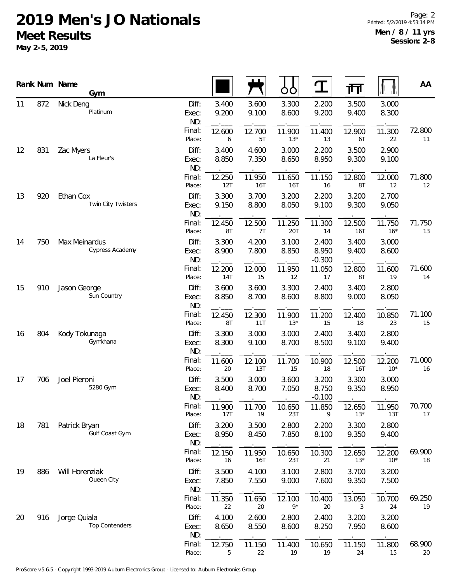## **2019 Men's JO Nationals Meet Results**

**May 2-5, 2019**

|    |     | Rank Num Name<br>Gym                  |                       |                |                | ŌÒ                   | $\mathbf T$                | गा                   |                 | AA           |
|----|-----|---------------------------------------|-----------------------|----------------|----------------|----------------------|----------------------------|----------------------|-----------------|--------------|
| 11 | 872 | Nick Deng<br>Platinum                 | Diff:<br>Exec:<br>ND: | 3.400<br>9.200 | 3.600<br>9.100 | 3.300<br>8.600       | 2.200<br>9.200             | 3.500<br>9.400       | 3.000<br>8.300  |              |
|    |     |                                       | Final:<br>Place:      | 12.600<br>6    | 12.700<br>5T   | 11.900<br>$13*$      | 11.400<br>13               | 12.900<br>6T         | 11.300<br>22    | 72.800<br>11 |
| 12 | 831 | Zac Myers<br>La Fleur's               | Diff:<br>Exec:<br>ND: | 3.400<br>8.850 | 4.600<br>7.350 | 3.000<br>8.650       | 2.200<br>8.950             | 3.500<br>9.300       | 2.900<br>9.100  |              |
|    |     |                                       | Final:<br>Place:      | 12.250<br>12T  | 11.950<br>16T  | 11.650<br><b>16T</b> | 11.150<br>16               | 12.800<br>8T         | 12.000<br>12    | 71.800<br>12 |
| 13 | 920 | Ethan Cox<br>Twin City Twisters       | Diff:<br>Exec:<br>ND: | 3.300<br>9.150 | 3.700<br>8.800 | 3.200<br>8.050       | 2.200<br>9.100             | 3.200<br>9.300       | 2.700<br>9.050  |              |
|    |     |                                       | Final:<br>Place:      | 12.450<br>8T   | 12.500<br>7T   | 11.250<br>20T        | 11.300<br>14               | 12.500<br><b>16T</b> | 11.750<br>$16*$ | 71.750<br>13 |
| 14 | 750 | Max Meinardus<br>Cypress Academy      | Diff:<br>Exec:<br>ND: | 3.300<br>8.900 | 4.200<br>7.800 | 3.100<br>8.850       | 2.400<br>8.950<br>$-0.300$ | 3.400<br>9.400       | 3.000<br>8.600  |              |
|    |     |                                       | Final:<br>Place:      | 12.200<br>14T  | 12.000<br>15   | 11.950<br>12         | 11.050<br>17               | 12.800<br>8T         | 11.600<br>19    | 71.600<br>14 |
| 15 | 910 | Jason George<br>Sun Country           | Diff:<br>Exec:<br>ND: | 3.600<br>8.850 | 3.600<br>8.700 | 3.300<br>8.600       | 2.400<br>8.800             | 3.400<br>9.000       | 2.800<br>8.050  |              |
|    |     |                                       | Final:<br>Place:      | 12.450<br>8T   | 12.300<br>11T  | 11.900<br>$13*$      | 11.200<br>15               | 12.400<br>18         | 10.850<br>23    | 71.100<br>15 |
| 16 | 804 | Kody Tokunaga<br>Gymkhana             | Diff:<br>Exec:<br>ND: | 3.300<br>8.300 | 3.000<br>9.100 | 3.000<br>8.700       | 2.400<br>8.500             | 3.400<br>9.100       | 2.800<br>9.400  |              |
|    |     |                                       | Final:<br>Place:      | 11.600<br>20   | 12.100<br>13T  | 11.700<br>15         | 10.900<br>18               | 12.500<br><b>16T</b> | 12.200<br>$10*$ | 71.000<br>16 |
| 17 | 706 | Joel Pieroni<br>5280 Gym              | Diff:<br>Exec:<br>ND: | 3.500<br>8.400 | 3.000<br>8.700 | 3.600<br>7.050       | 3.200<br>8.750<br>$-0.100$ | 3.300<br>9.350       | 3.000<br>8.950  |              |
|    |     |                                       | Final:<br>Place:      | 11.900<br>17T  | 11.700<br>19   | 10.650<br>23T        | 11.850<br>9                | 12.650<br>$13*$      | 11.950<br>13T   | 70.700<br>17 |
| 18 | 781 | Patrick Bryan<br>Gulf Coast Gym       | Diff:<br>Exec:<br>ND: | 3.200<br>8.950 | 3.500<br>8.450 | 2.800<br>7.850       | 2.200<br>8.100             | 3.300<br>9.350       | 2.800<br>9.400  |              |
|    |     |                                       | Final:<br>Place:      | 12.150<br>16   | 11.950<br>16T  | 10.650<br>23T        | 10.300<br>21               | 12.650<br>$13*$      | 12.200<br>$10*$ | 69.900<br>18 |
| 19 | 886 | Will Horenziak<br>Queen City          | Diff:<br>Exec:<br>ND: | 3.500<br>7.850 | 4.100<br>7.550 | 3.100<br>9.000       | 2.800<br>7.600             | 3.700<br>9.350       | 3.200<br>7.500  |              |
|    |     |                                       | Final:<br>Place:      | 11.350<br>22   | 11.650<br>20   | 12.100<br>$9*$       | 10.400<br>20               | 13.050<br>3          | 10.700<br>24    | 69.250<br>19 |
| 20 | 916 | Jorge Quiala<br><b>Top Contenders</b> | Diff:<br>Exec:<br>ND: | 4.100<br>8.650 | 2.600<br>8.550 | 2.800<br>8.600       | 2.400<br>8.250             | 3.200<br>7.950       | 3.200<br>8.600  |              |
|    |     |                                       | Final:<br>Place:      | 12.750<br>5    | 11.150<br>22   | 11.400<br>19         | 10.650<br>19               | 11.150<br>24         | 11.800<br>15    | 68.900<br>20 |